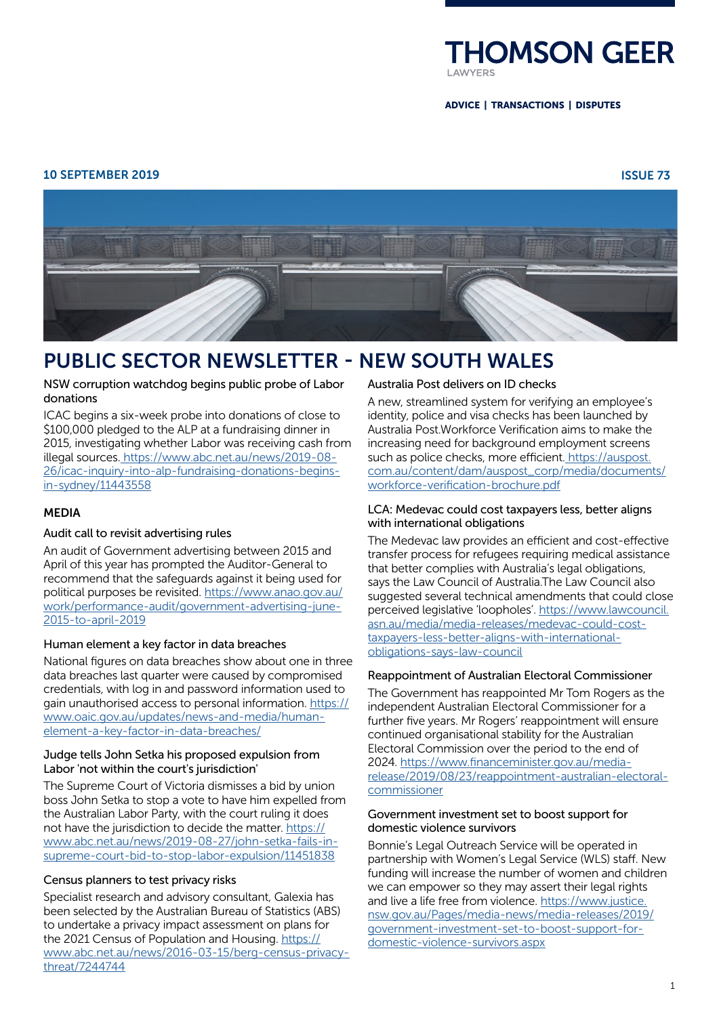

ADVICE | TRANSACTIONS | DISPUTES

# 10 SEPTEMBER 2019 ISSUE 73



# PUBLIC SECTOR NEWSLETTER - NEW SOUTH WALES

# NSW corruption watchdog begins public probe of Labor donations

ICAC begins a six-week probe into donations of close to \$100,000 pledged to the ALP at a fundraising dinner in 2015, investigating whether Labor was receiving cash from illegal sources. [https://www.abc.net.au/news/2019-08-](https://www.abc.net.au/news/2019-08-26/icac-inquiry-into-alp-fundraising-donations-begins-in-sydney/11443558) [26/icac-inquiry-into-alp-fundraising-donations-begins](https://www.abc.net.au/news/2019-08-26/icac-inquiry-into-alp-fundraising-donations-begins-in-sydney/11443558)[in-sydney/11443558](https://www.abc.net.au/news/2019-08-26/icac-inquiry-into-alp-fundraising-donations-begins-in-sydney/11443558)

# MEDIA

# Audit call to revisit advertising rules

An audit of Government advertising between 2015 and April of this year has prompted the Auditor-General to recommend that the safeguards against it being used for political purposes be revisited. [https://www.anao.gov.au/](https://www.anao.gov.au/work/performance-audit/government-advertising-june-2015-to-april-2019) [work/performance-audit/government-advertising-june-](https://www.anao.gov.au/work/performance-audit/government-advertising-june-2015-to-april-2019)[2015-to-april-2019](https://www.anao.gov.au/work/performance-audit/government-advertising-june-2015-to-april-2019)

# Human element a key factor in data breaches

National figures on data breaches show about one in three data breaches last quarter were caused by compromised credentials, with log in and password information used to gain unauthorised access to personal information. https:// www.oaic.gov.au/updates/news-and-media/humanelement-a-key-factor-in-data-breaches/

# Judge tells John Setka his proposed expulsion from Labor 'not within the court's jurisdiction'

The Supreme Court of Victoria dismisses a bid by union boss John Setka to stop a vote to have him expelled from the Australian Labor Party, with the court ruling it does not have the jurisdiction to decide the matter. [https://](https://www.abc.net.au/news/2019-08-27/john-setka-fails-in-supreme-court-bid-to-stop-labor-expulsion/11451838) [www.abc.net.au/news/2019-08-27/john-setka-fails-in](https://www.abc.net.au/news/2019-08-27/john-setka-fails-in-supreme-court-bid-to-stop-labor-expulsion/11451838)[supreme-court-bid-to-stop-labor-expulsion/11451838](https://www.abc.net.au/news/2019-08-27/john-setka-fails-in-supreme-court-bid-to-stop-labor-expulsion/11451838)

# Census planners to test privacy risks

Specialist research and advisory consultant, Galexia has been selected by the Australian Bureau of Statistics (ABS) to undertake a privacy impact assessment on plans for the 2021 Census of Population and Housing. [https://](https://www.abc.net.au/news/2016-03-15/berg-census-privacy-threat/7244744) [www.abc.net.au/news/2016-03-15/berg-census-privacy](https://www.abc.net.au/news/2016-03-15/berg-census-privacy-threat/7244744)[threat/7244744](https://www.abc.net.au/news/2016-03-15/berg-census-privacy-threat/7244744)

# [Australia Post delivers on ID checks](https://auspost.com.au/business/identity/workforce-verification)

A new, streamlined system for verifying an employee's identity, police and visa checks has been launched by Australia Post.Workforce Verification aims to make the increasing need for background employment screens such as police checks, more efficient[. https://auspost.](https://auspost.com.au/content/dam/auspost_corp/media/documents/workforce-verification-brochure.pdf) [com.au/content/dam/auspost\\_corp/media/documents/](https://auspost.com.au/content/dam/auspost_corp/media/documents/workforce-verification-brochure.pdf) [workforce-verification-brochure.pdf](https://auspost.com.au/content/dam/auspost_corp/media/documents/workforce-verification-brochure.pdf)

# LCA: Medevac could cost taxpayers less, better aligns with international obligations

The Medevac law provides an efficient and cost-effective transfer process for refugees requiring medical assistance that better complies with Australia's legal obligations, says the Law Council of Australia.The Law Council also suggested several technical amendments that could close perceived legislative 'loopholes'. [https://www.lawcouncil.](https://www.lawcouncil.asn.au/media/media-releases/medevac-could-cost-taxpayers-less-better-aligns-with-international-obligations-says-law-council) [asn.au/media/media-releases/medevac-could-cost](https://www.lawcouncil.asn.au/media/media-releases/medevac-could-cost-taxpayers-less-better-aligns-with-international-obligations-says-law-council)[taxpayers-less-better-aligns-with-international](https://www.lawcouncil.asn.au/media/media-releases/medevac-could-cost-taxpayers-less-better-aligns-with-international-obligations-says-law-council)[obligations-says-law-council](https://www.lawcouncil.asn.au/media/media-releases/medevac-could-cost-taxpayers-less-better-aligns-with-international-obligations-says-law-council)

# Reappointment of Australian Electoral Commissioner

The Government has reappointed Mr Tom Rogers as the independent Australian Electoral Commissioner for a further five years. Mr Rogers' reappointment will ensure continued organisational stability for the Australian Electoral Commission over the period to the end of 2024. [https://www.financeminister.gov.au/media](https://www.financeminister.gov.au/media-release/2019/08/23/reappointment-australian-electoral-commissioner
)[release/2019/08/23/reappointment-australian-electoral](https://www.financeminister.gov.au/media-release/2019/08/23/reappointment-australian-electoral-commissioner
)[commissioner](https://www.financeminister.gov.au/media-release/2019/08/23/reappointment-australian-electoral-commissioner
)

#### Government investment set to boost support for domestic violence survivors

Bonnie's Legal Outreach Service will be operated in partnership with Women's Legal Service (WLS) staff. New funding will increase the number of women and children we can empower so they may assert their legal rights and live a life free from violence. [https://www.justice.](https://www.justice.nsw.gov.au/Pages/media-news/media-releases/2019/government-investment-set-to-boost-support-for-domestic-violence-survivors.aspx) [nsw.gov.au/Pages/media-news/media-releases/2019/](https://www.justice.nsw.gov.au/Pages/media-news/media-releases/2019/government-investment-set-to-boost-support-for-domestic-violence-survivors.aspx) [government-investment-set-to-boost-support-for](https://www.justice.nsw.gov.au/Pages/media-news/media-releases/2019/government-investment-set-to-boost-support-for-domestic-violence-survivors.aspx)[domestic-violence-survivors.aspx](https://www.justice.nsw.gov.au/Pages/media-news/media-releases/2019/government-investment-set-to-boost-support-for-domestic-violence-survivors.aspx)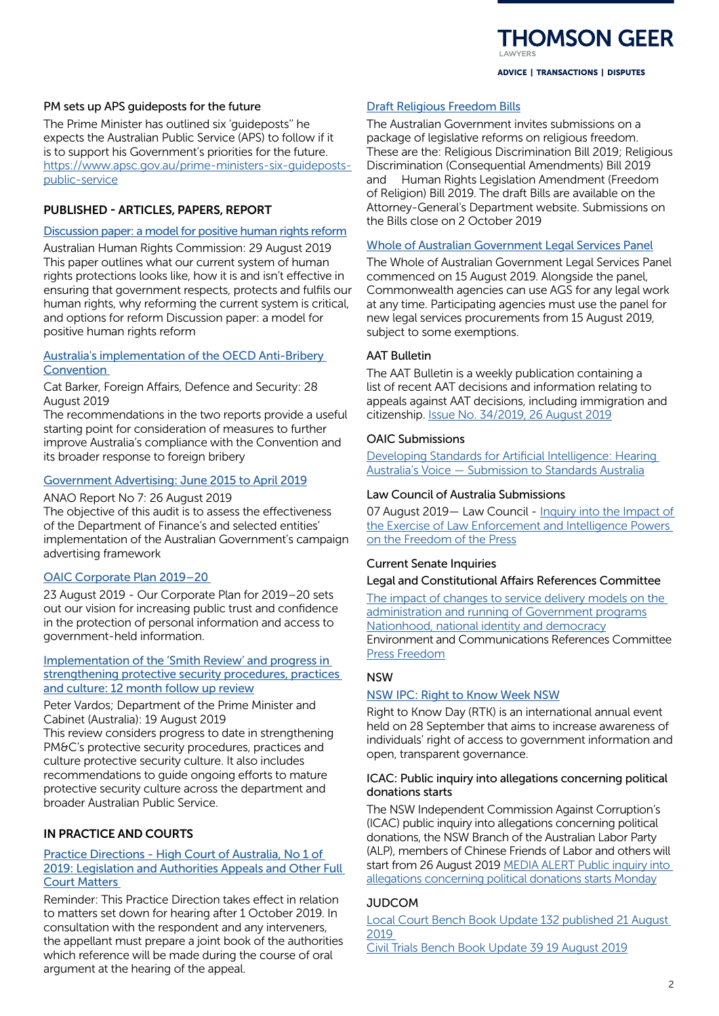**HOMSON GEER** 

ADVICE | TRANSACTIONS | DISPUTES

### PM sets up APS guideposts for the future

The Prime Minister has outlined six 'guideposts'' he expects the Australian Public Service (APS) to follow if it is to support his Government's priorities for the future. [https://www.apsc.gov.au/prime-ministers-six-guideposts](https://www.apsc.gov.au/prime-ministers-six-guideposts-public-service)[public-service](https://www.apsc.gov.au/prime-ministers-six-guideposts-public-service)

#### PUBLISHED - ARTICLES, PAPERS, REPORT

# [Discussion paper: a model for positive human rights reform](https://www.humanrights.gov.au/our-work/rights-and-freedoms/publications/discussion-paper-model-positive-human-rights-reform-2019)

Australian Human Rights Commission: 29 August 2019 This paper outlines what our current system of human rights protections looks like, how it is and isn't effective in ensuring that government respects, protects and fulfils our human rights, why reforming the current system is critical, and options for reform Discussion paper: a model for positive human rights reform

## [Australia's implementation of the OECD Anti-Bribery](https://www.aph.gov.au/About_Parliament/Parliamentary_Departments/Parliamentary_Library/pubs/rp/rp1920/Anti-BriberyConvention)  **Convention**

Cat Barker, Foreign Affairs, Defence and Security: 28 August 2019

The recommendations in the two reports provide a useful starting point for consideration of measures to further improve Australia's compliance with the Convention and its broader response to foreign bribery

# [Government Advertising: June 2015 to April 2019](https://www.anao.gov.au/work/performance-audit/government-advertising-june-2015-to-april-2019)

#### ANAO Report No 7: 26 August 2019

The objective of this audit is to assess the effectiveness of the Department of Finance's and selected entities' implementation of the Australian Government's campaign advertising framework

# [OAIC Corporate Plan 2019–20](https://www.oaic.gov.au/updates/news-and-media/corporate-plan-2019-20/)

23 August 2019 - Our Corporate Plan for 2019–20 sets out our vision for increasing public trust and confidence in the protection of personal information and access to government-held information.

#### [Implementation of the 'Smith Review' and progress in](https://www.pmc.gov.au/resource-centre/pmc/implementation-report-smith-review)  [strengthening protective security procedures, practices](https://www.pmc.gov.au/resource-centre/pmc/implementation-report-smith-review)  [and culture: 12 month follow up review](https://www.pmc.gov.au/resource-centre/pmc/implementation-report-smith-review)

Peter Vardos; Department of the Prime Minister and Cabinet (Australia): 19 August 2019

This review considers progress to date in strengthening PM&C's protective security procedures, practices and culture protective security culture. It also includes recommendations to guide ongoing efforts to mature protective security culture across the department and broader Australian Public Service.

# IN PRACTICE AND COURTS

# [Practice Directions - High Court of Australia, No 1 of](http://www.hcourt.gov.au/assets/registry/practice-directions/Practice_Direction_No_1_of_2019_Joint_Book_of_Authorities.pdf)  [2019: Legislation and Authorities Appeals and Other Full](http://www.hcourt.gov.au/assets/registry/practice-directions/Practice_Direction_No_1_of_2019_Joint_Book_of_Authorities.pdf)  [Court Matters](http://www.hcourt.gov.au/assets/registry/practice-directions/Practice_Direction_No_1_of_2019_Joint_Book_of_Authorities.pdf)

Reminder: This Practice Direction takes effect in relation to matters set down for hearing after 1 October 2019. In consultation with the respondent and any interveners, the appellant must prepare a joint book of the authorities which reference will be made during the course of oral argument at the hearing of the appeal.

# [Draft Religious Freedom Bills](https://www.ag.gov.au/Consultations/Pages/religious-freedom-bills.aspx)

The Australian Government invites submissions on a package of legislative reforms on religious freedom. These are the: Religious Discrimination Bill 2019; Religious Discrimination (Consequential Amendments) Bill 2019 and Human Rights Legislation Amendment (Freedom of Religion) Bill 2019. The draft Bills are available on the Attorney-General's Department website. Submissions on the Bills close on 2 October 2019

## [Whole of Australian Government Legal Services Panel](https://www.ag.gov.au/LegalSystem/LegalServicesCoordination/Pages/purchasing-legal-services.aspx)

The Whole of Australian Government Legal Services Panel commenced on 15 August 2019. Alongside the panel, Commonwealth agencies can use AGS for any legal work at any time. Participating agencies must use the panel for new legal services procurements from 15 August 2019, subject to some exemptions.

# AAT Bulletin

The AAT Bulletin is a weekly publication containing a list of recent AAT decisions and information relating to appeals against AAT decisions, including immigration and citizenship. [Issue No. 34/2019, 26 August 2019](https://www.aat.gov.au/AAT/media/AAT/Files/AAT%20Bulletins/34-19.pdf)

#### OAIC Submissions

[Developing Standards for Artificial Intelligence: Hearing](https://www.oaic.gov.au/engage-with-us/submissions/developing-standards-for-artificial-intelligence-hearing-australias-voice-submission-to-standards-australia/)  [Australia's Voice — Submission to Standards Australia](https://www.oaic.gov.au/engage-with-us/submissions/developing-standards-for-artificial-intelligence-hearing-australias-voice-submission-to-standards-australia/)

# Law Council of Australia Submissions

07 August 2019— Law Council - [Inquiry into the Impact of](https://www.lawcouncil.asn.au/resources/submissions/inquiry-into-the-impact-of-the-exercise-of-law-enforcement-and-intelligence-powers-on-the-freedom-of-the-press)  [the Exercise of Law Enforcement and Intelligence Powers](https://www.lawcouncil.asn.au/resources/submissions/inquiry-into-the-impact-of-the-exercise-of-law-enforcement-and-intelligence-powers-on-the-freedom-of-the-press)  [on the Freedom of the Press](https://www.lawcouncil.asn.au/resources/submissions/inquiry-into-the-impact-of-the-exercise-of-law-enforcement-and-intelligence-powers-on-the-freedom-of-the-press)

#### Current Senate Inquiries

#### Legal and Constitutional Affairs References Committee

The impact of changes to service delivery models on the [administration and running of Government programs](https://www.aph.gov.au/Parliamentary_Business/Committees/Senate/Legal_and_Constitutional_Affairs/ServiceDelivery) [Nationhood, national identity and democracy](https://www.aph.gov.au/Parliamentary_Business/Committees/Senate/Legal_and_Constitutional_Affairs/Nationhood) Environment and Communications References Committee [Press Freedom](https://www.aph.gov.au/Parliamentary_Business/Committees/Senate/Environment_and_Communications/PressFreedom)

# **NSW**

#### [NSW IPC: Right to Know Week NSW](https://www.ipc.nsw.gov.au/RTKWNSW2019)

Right to Know Day (RTK) is an international annual event held on 28 September that aims to increase awareness of individuals' right of access to government information and open, transparent governance.

#### ICAC: Public inquiry into allegations concerning political donations starts

The NSW Independent Commission Against Corruption's (ICAC) public inquiry into allegations concerning political donations, the NSW Branch of the Australian Labor Party (ALP), members of Chinese Friends of Labor and others will start from 26 August 2019 [MEDIA ALERT Public inquiry into](https://www.icac.nsw.gov.au/media-centre/media-releases/2019-media-releases/media-alert-public-inquiry-into-allegations-concerning-political-donations-starts-monday)  [allegations concerning political donations starts Monday](https://www.icac.nsw.gov.au/media-centre/media-releases/2019-media-releases/media-alert-public-inquiry-into-allegations-concerning-political-donations-starts-monday)

### **JUDCOM**

[Local Court Bench Book Update 132 published 21 August](https://www.judcom.nsw.gov.au/local-court-bench-book-update-132-published/)  [2019](https://www.judcom.nsw.gov.au/local-court-bench-book-update-132-published/) 

[Civil Trials Bench Book Update 39 19 August 2019](https://www.judcom.nsw.gov.au/civil-trials-bench-book-update-39/)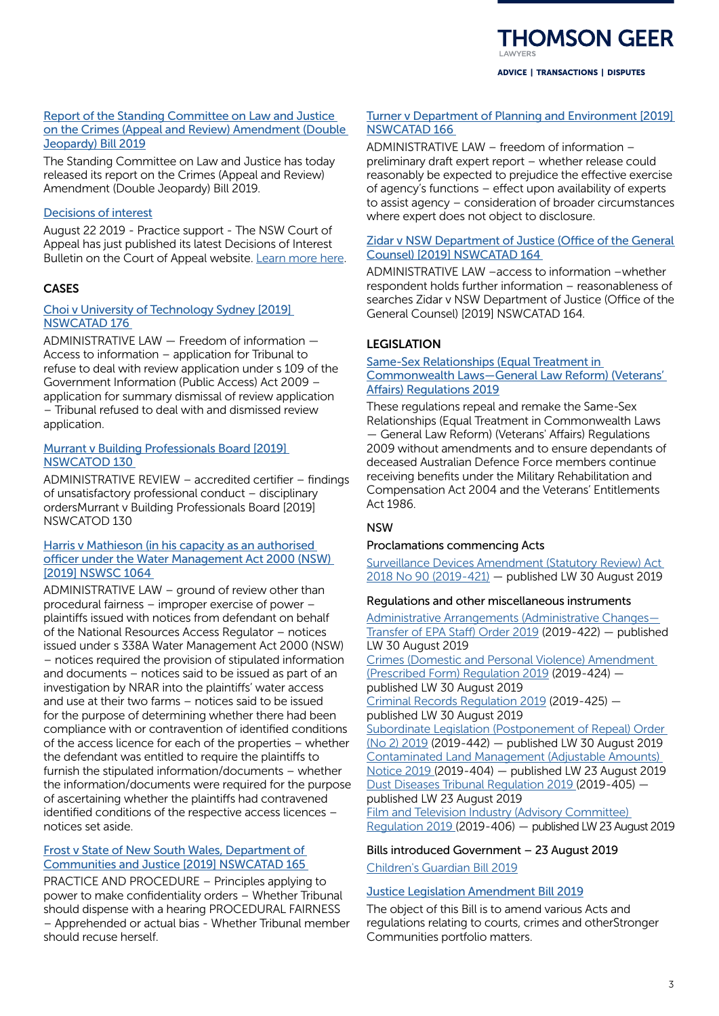**HOMSON GEER** 

ADVICE | TRANSACTIONS | DISPUTES

# [Report of the Standing Committee on Law and Justice](https://inbrief.nswbar.asn.au/articles/cdb25a7c087884e2216dfe14262829f5)  [on the Crimes \(Appeal and Review\) Amendment \(Double](https://inbrief.nswbar.asn.au/articles/cdb25a7c087884e2216dfe14262829f5)  [Jeopardy\) Bill 2019](https://inbrief.nswbar.asn.au/articles/cdb25a7c087884e2216dfe14262829f5)

The Standing Committee on Law and Justice has today released its report on the Crimes (Appeal and Review) Amendment (Double Jeopardy) Bill 2019.

# [Decisions of interest](https://nswca.judcom.nsw.gov.au/)

August 22 2019 - Practice support - The NSW Court of Appeal has just published its latest Decisions of Interest Bulletin on the Court of Appeal website. [Learn more here.](https://nswca.judcom.nsw.gov.au/latest-decisions-of-interest/)

# **CASES**

# [Choi v University of Technology Sydney \[2019\]](https://www.caselaw.nsw.gov.au/decision/5d5f7a80e4b0ab0bf60713cc)  [NSWCATAD 176](https://www.caselaw.nsw.gov.au/decision/5d5f7a80e4b0ab0bf60713cc)

ADMINISTRATIVE LAW — Freedom of information — Access to information – application for Tribunal to refuse to deal with review application under s 109 of the Government Information (Public Access) Act 2009 – application for summary dismissal of review application – Tribunal refused to deal with and dismissed review application.

# [Murrant v Building Professionals Board \[2019\]](https://www.caselaw.nsw.gov.au/decision/5d5c9a3ce4b0ab0bf607127a)  [NSWCATOD 130](https://www.caselaw.nsw.gov.au/decision/5d5c9a3ce4b0ab0bf607127a)

ADMINISTRATIVE REVIEW – accredited certifier – findings of unsatisfactory professional conduct – disciplinary ordersMurrant v Building Professionals Board [2019] NSWCATOD 130

# [Harris v Mathieson \(in his capacity as an authorised](https://www.caselaw.nsw.gov.au/decision/5d5b1e19e4b0ab0bf6071197)  [officer under the Water Management Act 2000 \(NSW\)](https://www.caselaw.nsw.gov.au/decision/5d5b1e19e4b0ab0bf6071197)  [\[2019\] NSWSC 1064](https://www.caselaw.nsw.gov.au/decision/5d5b1e19e4b0ab0bf6071197)

ADMINISTRATIVE LAW – ground of review other than procedural fairness – improper exercise of power – plaintiffs issued with notices from defendant on behalf of the National Resources Access Regulator – notices issued under s 338A Water Management Act 2000 (NSW) – notices required the provision of stipulated information and documents – notices said to be issued as part of an investigation by NRAR into the plaintiffs' water access and use at their two farms – notices said to be issued for the purpose of determining whether there had been compliance with or contravention of identified conditions of the access licence for each of the properties – whether the defendant was entitled to require the plaintiffs to furnish the stipulated information/documents – whether the information/documents were required for the purpose of ascertaining whether the plaintiffs had contravened identified conditions of the respective access licences – notices set aside.

# [Frost v State of New South Wales, Department of](https://www.caselaw.nsw.gov.au/decision/5d55f7a9e4b0c3247d711242)  [Communities and Justice \[2019\] NSWCATAD 165](https://www.caselaw.nsw.gov.au/decision/5d55f7a9e4b0c3247d711242)

PRACTICE AND PROCEDURE – Principles applying to power to make confidentiality orders – Whether Tribunal should dispense with a hearing PROCEDURAL FAIRNESS – Apprehended or actual bias - Whether Tribunal member should recuse herself.

# [Turner v Department of Planning and Environment \[2019\]](https://www.caselaw.nsw.gov.au/decision/5d55f9fbe4b0c3247d711255)  [NSWCATAD 166](https://www.caselaw.nsw.gov.au/decision/5d55f9fbe4b0c3247d711255)

ADMINISTRATIVE LAW – freedom of information – preliminary draft expert report – whether release could reasonably be expected to prejudice the effective exercise of agency's functions – effect upon availability of experts to assist agency – consideration of broader circumstances where expert does not object to disclosure.

# [Zidar v NSW Department of Justice \(Office of the General](https://www.caselaw.nsw.gov.au/decision/5d55f76de4b0c3247d71123e)  [Counsel\) \[2019\] NSWCATAD 164](https://www.caselaw.nsw.gov.au/decision/5d55f76de4b0c3247d71123e)

ADMINISTRATIVE LAW –access to information –whether respondent holds further information – reasonableness of searches Zidar v NSW Department of Justice (Office of the General Counsel) [2019] NSWCATAD 164.

# LEGISLATION

## [Same-Sex Relationships \(Equal Treatment in](https://www.legislation.gov.au/Details/F2019L01082)  [Commonwealth Laws—General Law Reform\) \(Veterans'](https://www.legislation.gov.au/Details/F2019L01082)  [Affairs\) Regulations 2019](https://www.legislation.gov.au/Details/F2019L01082)

These regulations repeal and remake the Same-Sex Relationships (Equal Treatment in Commonwealth Laws — General Law Reform) (Veterans' Affairs) Regulations 2009 without amendments and to ensure dependants of deceased Australian Defence Force members continue receiving benefits under the Military Rehabilitation and Compensation Act 2004 and the Veterans' Entitlements Act 1986.

# NSW

# Proclamations commencing Acts

[Surveillance Devices Amendment \(Statutory Review\) Act](https://www.legislation.nsw.gov.au/regulations/2019-421.pdf)  [2018 No 90 \(2019-421\)](https://www.legislation.nsw.gov.au/regulations/2019-421.pdf) — published LW 30 August 2019

# Regulations and other miscellaneous instruments

[Administrative Arrangements \(Administrative Changes—](https://www.legislation.nsw.gov.au/regulations/2019-422.pdf) [Transfer of EPA Staff\) Order 2019](https://www.legislation.nsw.gov.au/regulations/2019-422.pdf) (2019-422) — published LW 30 August 2019 [Crimes \(Domestic and Personal Violence\) Amendment](https://www.legislation.nsw.gov.au/regulations/2019-424.pdf)  [\(Prescribed Form\) Regulation 2019](https://www.legislation.nsw.gov.au/regulations/2019-424.pdf) (2019-424) published LW 30 August 2019 [Criminal Records Regulation 2019](https://www.legislation.nsw.gov.au/regulations/2019-425.pdf) (2019-425) published LW 30 August 2019 [Subordinate Legislation \(Postponement of Repeal\) Order](https://www.legislation.nsw.gov.au/regulations/2019-442.pdf)  [\(No 2\) 2019](https://www.legislation.nsw.gov.au/regulations/2019-442.pdf) (2019-442) — published LW 30 August 2019 [Contaminated Land Management \(Adjustable Amounts\)](https://www.legislation.nsw.gov.au/regulations/2019-404.pdf)  [Notice 2019 \(](https://www.legislation.nsw.gov.au/regulations/2019-404.pdf)2019-404) — published LW 23 August 2019 [Dust Diseases Tribunal Regulation 2019](https://www.legislation.nsw.gov.au/regulations/2019-405.pdf) (2019-405) published LW 23 August 2019 [Film and Television Industry \(Advisory Committee\)](https://www.legislation.nsw.gov.au/regulations/2019-406.pdf)  [Regulation 2019](https://www.legislation.nsw.gov.au/regulations/2019-406.pdf) (2019-406) — published LW 23 August 2019

# Bills introduced Government – 23 August 2019 [Children's Guardian Bill 2019](https://www.legislation.nsw.gov.au/#/view/bill/6880176a-0c6b-4af5-a509-33fc4ca8eb3d)

# [Justice Legislation Amendment Bill 2019](https://www.legislation.nsw.gov.au/#/view/bill/f6cf7022-1f9f-40d6-ab42-3c85c3648f6c)

The object of this Bill is to amend various Acts and regulations relating to courts, crimes and otherStronger Communities portfolio matters.